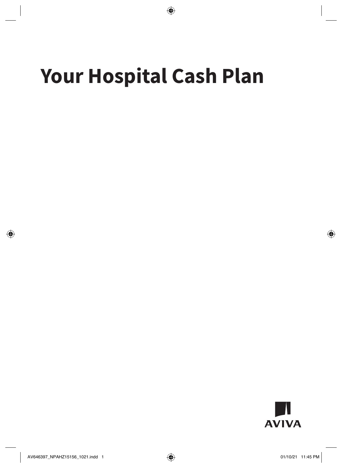# **Your Hospital Cash Plan**

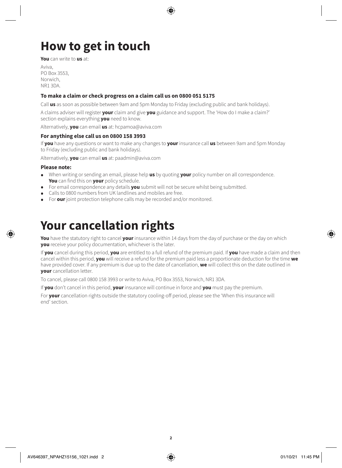# **How to get in touch**

**You** can write to **us** at:

Aviva,  $PO$  Box 3553 Norwich, NR1 3DA.

#### **To make a claim or check progress on a claim call us on 0800 051 5175**

Call **us** as soon as possible between 9am and 5pm Monday to Friday (excluding public and bank holidays).

A claims adviser will register **your** claim and give **you** guidance and support. The 'How do I make a claim?' section explains everything **you** need to know.

Alternatively, **you** can email **us** at: [hcpamoa@aviva.com](mailto:hcpamoa@aviva.com)

#### **For anything else call us on 0800 158 3993**

If **you** have any questions or want to make any changes to **your** insurance call **us** between 9am and 5pm Monday to Friday (excluding public and bank holidays).

Alternatively, **you** can email **us** at: [paadmin@aviva.com](mailto:paadmin@aviva.com)

#### **Please note:**

- When writing or sending an email, please help **us** by quoting **your** policy number on all correspondence. **You** can find this on **your** policy schedule.
- For email correspondence any details **you** submit will not be secure whilst being submitted.
- Calls to 0800 numbers from UK landlines and mobiles are free.
- For **our** joint protection telephone calls may be recorded and/or monitored.

### **Your cancellation rights**

**You** have the statutory right to cancel **your** insurance within 14 days from the day of purchase or the day on which **you** receive your policy documentation, whichever is the later.

If **you** cancel during this period, **you** are entitled to a full refund of the premium paid. If **you** have made a claim and then cancel within this period, **you** will receive a refund for the premium paid less a proportionate deduction for the time **we** have provided cover. If any premium is due up to the date of cancellation, **we** will collect this on the date outlined in **your** cancellation letter.

To cancel, please call 0800 158 3993 or write to Aviva, PO Box 3553, Norwich, NR1 3DA.

If **you** don't cancel in this period, **your** insurance will continue in force and **you** must pay the premium.

For **your** cancellation rights outside the statutory cooling-off period, please see the 'When this insurance will end' section.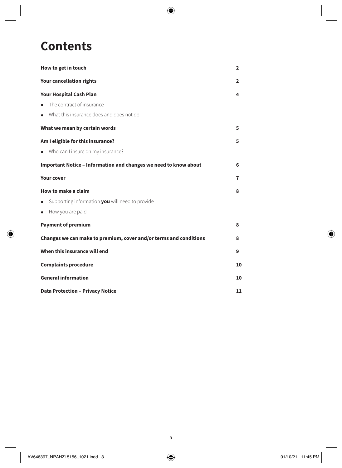### **Contents**

| How to get in touch                                               | $\overline{2}$ |
|-------------------------------------------------------------------|----------------|
| <b>Your cancellation rights</b>                                   | 2              |
| <b>Your Hospital Cash Plan</b>                                    |                |
| • The contract of insurance                                       |                |
| • What this insurance does and does not do                        |                |
| What we mean by certain words                                     | 5              |
| Am I eligible for this insurance?                                 | 5              |
| • Who can I insure on my insurance?                               |                |
| Important Notice - Information and changes we need to know about  | 6              |
| <b>Your cover</b>                                                 | 7              |
| How to make a claim                                               | 8              |
| Supporting information you will need to provide<br>$\bullet$      |                |
| How you are paid                                                  |                |
| <b>Payment of premium</b>                                         | 8              |
| Changes we can make to premium, cover and/or terms and conditions | 8              |
| When this insurance will end                                      | 9              |
| <b>Complaints procedure</b>                                       |                |
| <b>General information</b>                                        |                |
| <b>Data Protection - Privacy Notice</b>                           |                |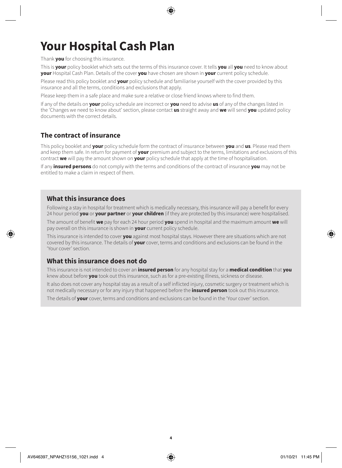# **Your Hospital Cash Plan**

Thank **you** for choosing this insurance.

This is **your** policy booklet which sets out the terms of this insurance cover. It tells **you** all **you** need to know about **your** Hospital Cash Plan. Details of the cover **you** have chosen are shown in **your** current policy schedule.

Please read this policy booklet and **your** policy schedule and familiarise yourself with the cover provided by this insurance and all the terms, conditions and exclusions that apply.

Please keep them in a safe place and make sure a relative or close friend knows where to find them.

If any of the details on **your** policy schedule are incorrect or **you** need to advise **us** of any of the changes listed in the 'Changes we need to know about' section, please contact **us** straight away and **we** will send **you** updated policy documents with the correct details.

### **The contract of insurance**

This policy booklet and **your** policy schedule form the contract of insurance between **you** and **us**. Please read them and keep them safe. In return for payment of **your** premium and subject to the terms, limitations and exclusions of this contract **we** will pay the amount shown on **your** policy schedule that apply at the time of hospitalisation.

If any **insured persons** do not comply with the terms and conditions of the contract of insurance **you** may not be entitled to make a claim in respect of them.

### **What this insurance does**

Following a stay in hospital for treatment which is medically necessary, this insurance will pay a benefit for every 24 hour period **you** or **your partner** or **your children** (if they are protected by this insurance) were hospitalised.

The amount of benefit **we** pay for each 24 hour period **you** spend in hospital and the maximum amount **we** will pay overall on this insurance is shown in **your** current policy schedule.

This insurance is intended to cover **you** against most hospital stays. However there are situations which are not covered by this insurance. The details of **your** cover, terms and conditions and exclusions can be found in the 'Your cover' section.

### **What this insurance does not do**

This insurance is not intended to cover an **insured person** for any hospital stay for a **medical condition** that **you** knew about before **you** took out this insurance, such as for a pre-existing illness, sickness or disease.

It also does not cover any hospital stay as a result of a self inflicted injury, cosmetic surgery or treatment which is not medically necessary or for any injury that happened before the **insured person** took out this insurance.

The details of **your** cover, terms and conditions and exclusions can be found in the 'Your cover' section.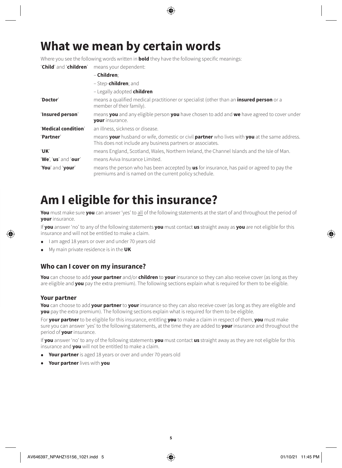### **What we mean by certain words**

Where you see the following words written in **bold** they have the following specific meanings:

'**Child**' and '**children**' means your dependent:

|                      | - Children:                                                                                                                                                 |
|----------------------|-------------------------------------------------------------------------------------------------------------------------------------------------------------|
|                      | - Step-children; and                                                                                                                                        |
|                      | - Legally adopted children                                                                                                                                  |
| 'Doctor'             | means a qualified medical practitioner or specialist (other than an <b>insured person</b> or a<br>member of their family).                                  |
| 'Insured person'     | means you and any eligible person you have chosen to add and we have agreed to cover under<br><b>your</b> insurance.                                        |
| 'Medical condition'  | an illness, sickness or disease.                                                                                                                            |
| 'Partner'            | means your husband or wife, domestic or civil partner who lives with you at the same address.<br>This does not include any business partners or associates. |
| 'UK'                 | means England, Scotland, Wales, Northern Ireland, the Channel Islands and the Isle of Man.                                                                  |
| 'We', 'us' and 'our' | means Aviva Insurance Limited.                                                                                                                              |
| 'You' and 'your'     | means the person who has been accepted by <b>us</b> for insurance, has paid or agreed to pay the<br>premiums and is named on the current policy schedule.   |

### **Am I eligible for this insurance?**

**You** must make sure **you** can answer 'yes' to all of the following statements at the start of and throughout the period of **your** insurance.

If **you** answer 'no' to any of the following statements **you** must contact **us** straight away as **you** are not eligible for this insurance and will not be entitled to make a claim.

- I am aged 18 years or over and under 70 years old
- My main private residence is in the **UK**

### **Who can I cover on my insurance?**

**You** can choose to add **your partner** and/or **children** to **your** insurance so they can also receive cover (as long as they are eligible and **you** pay the extra premium). The following sections explain what is required for them to be eligible.

#### **Your partner**

**You** can choose to add **your partner** to **your** insurance so they can also receive cover (as long as they are eligible and **you** pay the extra premium). The following sections explain what is required for them to be eligible.

For **your partner** to be eligible for this insurance, entitling **you** to make a claim in respect of them, **you** must make sure you can answer 'yes' to the following statements, at the time they are added to **your** insurance and throughout the period of **your** insurance.

If **you** answer 'no' to any of the following statements **you** must contact **us** straight away as they are not eligible for this insurance and **you** will not be entitled to make a claim.

- **Your partner** is aged 18 years or over and under 70 years old
- **Your partner** lives with **you**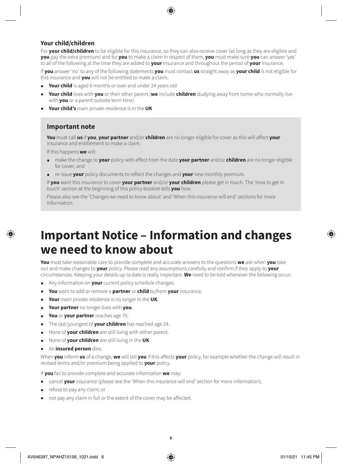#### **Your child/children**

For **your child/children** to be eligible for this insurance, so they can also receive cover (as long as they are eligible and **you** pay the extra premium) and for **you** to make a claim in respect of them, **you** must make sure **you** can answer 'yes' to all of the following at the time they are added to **your** insurance and throughout the period of **your** insurance.

If **you** answer 'no' to any of the following statements **you** must contact **us** straight away as **your child** is not eligible for this insurance and **you** will not be entitled to make a claim.

- **Your child** is aged 6 months or over and under 24 years old
- **Your child** lives with **you** or their other parent (**we** include **children** studying away from home who normally live with **you** or a parent outside term time)
- **Your child's** main private residence is in the **UK**

#### **Important note**

**You** must call **us** if **you**, **your partner** and/or **children** are no longer eligible for cover as this will affect **your** insurance and entitlement to make a claim.

If this happens **we** will:

- make the change to **your** policy with effect from the date **your partner** and/or **children** are no longer eligible for cover; and
- re-issue **your** policy documents to reflect the changes and **your** new monthly premium.

If **you** want this insurance to cover **your partner** and/or **your children** please get in touch. The 'How to get in touch' section at the beginning of this policy booklet tells **you** how.

Please also see the 'Changes we need to know about' and 'When this insurance will end' sections for more information.

### **Important Notice – Information and changes we need to know about**

**You** must take reasonable care to provide complete and accurate answers to the questions **we** ask when **you** take out and make changes to **your** policy. Please read any assumptions carefully and confirm if they apply to **your**  circumstances. Keeping your details up to date is really important. **We** need to be told whenever the following occur:

- Any information on **your** current policy schedule changes.
- **You** want to add or remove a **partner** or **child** to/from **your** insurance.
- **Your** main private residence is no longer in the **UK**.
- **Your partner** no longer lives with **you**.
- **You** or **your partner** reaches age 70.
- The last/youngest of **your children** has reached age 24.
- None of **your children** are still living with either parent.
- None of **your children** are still living in the **UK**.
- An **insured person** dies.

When **you** inform **us** of a change, **we** will tell **you** if this affects **your** policy, for example whether the change will result in revised terms and/or premium being applied to **your** policy.

If **you** fail to provide complete and accurate information **we** may:

- cancel **your** insurance (please see the 'When this insurance will end' section for more information);
- refuse to pay any claim; or
- not pay any claim in full or the extent of the cover may be affected.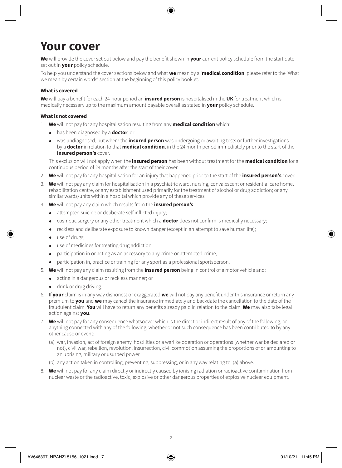## **Your cover**

**We** will provide the cover set out below and pay the benefit shown in **your** current policy schedule from the start date set out in **your** policy schedule.

To help you understand the cover sections below and what **we** mean by a '**medical condition**' please refer to the 'What we mean by certain words' section at the beginning of this policy booklet.

#### **What is covered**

**We** will pay a benefit for each 24-hour period an **insured person** is hospitalised in the **UK** for treatment which is medically necessary up to the maximum amount payable overall as stated in **your** policy schedule.

#### **What is not covered**

- 1. **We** will not pay for any hospitalisation resulting from any **medical condition** which:
	- has been diagnosed by a **doctor**; or
	- was undiagnosed, but where the **insured person** was undergoing or awaiting tests or further investigations by a **doctor** in relation to that **medical condition**, in the 24 month period immediately prior to the start of the **insured person's** cover.

This exclusion will not apply when the **insured person** has been without treatment for the **medical condition** for a continuous period of 24 months after the start of their cover.

- 2. **We** will not pay for any hospitalisation for an injury that happened prior to the start of the **insured person's** cover.
- 3. **We** will not pay any claim for hospitalisation in a psychiatric ward, nursing, convalescent or residential care home, rehabilitation centre, or any establishment used primarily for the treatment of alcohol or drug addiction; or any similar wards/units within a hospital which provide any of these services.
- 4. **We** will not pay any claim which results from the **insured person's**:
	- attempted suicide or deliberate self inflicted injury;
	- cosmetic surgery or any other treatment which a **doctor** does not confirm is medically necessary;
	- reckless and deliberate exposure to known danger (except in an attempt to save human life);
	- use of drugs;
	- use of medicines for treating drug addiction;
	- participation in or acting as an accessory to any crime or attempted crime;
	- participation in, practice or training for any sport as a professional sportsperson.
- 5. **We** will not pay any claim resulting from the **insured person** being in control of a motor vehicle and:
	- acting in a dangerous or reckless manner; or
	- drink or drug driving.
- 6. If **your** claim is in any way dishonest or exaggerated **we** will not pay any benefit under this insurance or return any premium to **you** and **we** may cancel the insurance immediately and backdate the cancellation to the date of the fraudulent claim. **You** will have to return any benefits already paid in relation to the claim. **We** may also take legal action against **you**.
- 7. **We** will not pay for any consequence whatsoever which is the direct or indirect result of any of the following, or anything connected with any of the following, whether or not such consequence has been contributed to by any other cause or event:
	- (a) war, invasion, act of foreign enemy, hostilities or a warlike operation or operations (whether war be declared or not), civil war, rebellion, revolution, insurrection, civil commotion assuming the proportions of or amounting to an uprising, military or usurped power.
	- (b) any action taken in controlling, preventing, suppressing, or in any way relating to, (a) above.
- 8. **We** will not pay for any claim directly or indirectly caused by ionising radiation or radioactive contamination from nuclear waste or the radioactive, toxic, explosive or other dangerous properties of explosive nuclear equipment.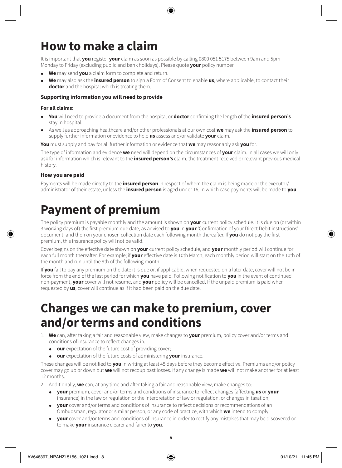# **How to make a claim**

It is important that **you** register **your** claim as soon as possible by calling 0800 051 5175 between 9am and 5pm Monday to Friday (excluding public and bank holidays). Please quote **your** policy number.

- **We** may send **you** a claim form to complete and return.
- **We** may also ask the **insured person** to sign a Form of Consent to enable **us**, where applicable, to contact their **doctor** and the hospital which is treating them.

#### **Supporting information you will need to provide**

#### **For all claims:**

- **You** will need to provide a document from the hospital or **doctor** confirming the length of the **insured person's** stay in hospital.
- As well as approaching healthcare and/or other professionals at our own cost **we** may ask the **insured person** to supply further information or evidence to help **us** assess and/or validate **your** claim.

**You** must supply and pay for all further information or evidence that **we** may reasonably ask **you** for.

The type of information and evidence **we** need will depend on the circumstances of **your** claim. In all cases we will only ask for information which is relevant to the **insured person's** claim, the treatment received or relevant previous medical history.

#### **How you are paid**

Payments will be made directly to the **insured person** in respect of whom the claim is being made or the executor/ administrator of their estate, unless the **insured person** is aged under 16, in which case payments will be made to **you**.

### **Payment of premium**

The policy premium is payable monthly and the amount is shown on **your** current policy schedule. It is due on (or within 3 working days of) the first premium due date, as advised to **you** in **your** 'Confirmation of your Direct Debit instructions' document, and then on your chosen collection date each following month thereafter. If **you** do not pay the first premium, this insurance policy will not be valid.

Cover begins on the effective date shown on **your** current policy schedule, and **your** monthly period will continue for each full month thereafter. For example; if **your** effective date is 10th March, each monthly period will start on the 10th of the month and run until the 9th of the following month.

If **you** fail to pay any premium on the date it is due or, if applicable, when requested on a later date, cover will not be in force from the end of the last period for which **you** have paid. Following notification to **you** in the event of continued non-payment, **your** cover will not resume, and **your** policy will be cancelled. If the unpaid premium is paid when requested by **us**, cover will continue as if it had been paid on the due date.

### **Changes we can make to premium, cover and/or terms and conditions**

- 1. **We** can, after taking a fair and reasonable view, make changes to **your** premium, policy cover and/or terms and conditions of insurance to reflect changes in:
	- **our** expectation of the future cost of providing cover;<br>• **our** expectation of the future costs of administering **v**
	- **our** expectation of the future costs of administering **your** insurance.

These changes will be notified to **you** in writing at least 45 days before they become effective. Premiums and/or policy cover may go up or down but **we** will not recoup past losses. If any change is made **we** will not make another for at least 12 months.

2. Additionally, **we** can, at any time and after taking a fair and reasonable view, make changes to:

- **your** premium, cover and/or terms and conditions of insurance to reflect changes (affecting **us** or **your** insurance) in the law or regulation or the interpretation of law or regulation, or changes in taxation;
- **your** cover and/or terms and conditions of insurance to reflect decisions or recommendations of an Ombudsman, regulator or similar person, or any code of practice, with which **we** intend to comply;
- **your** cover and/or terms and conditions of insurance in order to rectify any mistakes that may be discovered or to make **your** insurance clearer and fairer to **you**.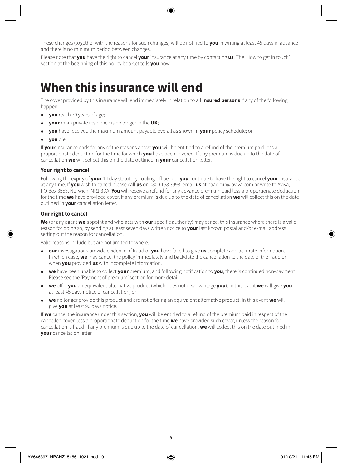These changes (together with the reasons for such changes) will be notified to **you** in writing at least 45 days in advance and there is no minimum period between changes.

Please note that **you** have the right to cancel **your** insurance at any time by contacting **us**. The 'How to get in touch' section at the beginning of this policy booklet tells **you** how.

### **When this insurance will end**

The cover provided by this insurance will end immediately in relation to all **insured persons** if any of the following happen:

- **you** reach 70 years of age;
- **your** main private residence is no longer in the **UK**;
- **you** have received the maximum amount payable overall as shown in **your** policy schedule; or
- **you** die.

If **your** insurance ends for any of the reasons above **you** will be entitled to a refund of the premium paid less a proportionate deduction for the time for which **you** have been covered. If any premium is due up to the date of cancellation **we** will collect this on the date outlined in **your** cancellation letter.

#### **Your right to cancel**

Following the expiry of **your** 14 day statutory cooling-off period, **you** continue to have the right to cancel **your** insurance at any time. If **you** wish to cancel please call **us** on 0800 158 3993, email **us** at paadmin@aviva.com or write to Aviva, PO Box 3553, Norwich, NR1 3DA. **You** will receive a refund for any advance premium paid less a proportionate deduction for the time **we** have provided cover. If any premium is due up to the date of cancellation **we** will collect this on the date outlined in **your** cancellation letter.

#### **Our right to cancel**

**We** (or any agent **we** appoint and who acts with **our** specific authority) may cancel this insurance where there is a valid reason for doing so, by sending at least seven days written notice to **your** last known postal and/or e-mail address setting out the reason for cancellation.

Valid reasons include but are not limited to where:

- **our** investigations provide evidence of fraud or **you** have failed to give **us** complete and accurate information. In which case, **we** may cancel the policy immediately and backdate the cancellation to the date of the fraud or when **you** provided **us** with incomplete information.
- **we** have been unable to collect **your** premium, and following notification to **you**, there is continued non-payment. Please see the 'Payment of premium' section for more detail.
- **we** offer **you** an equivalent alternative product (which does not disadvantage **you**). In this event **we** will give **you** at least 45 days notice of cancellation; or
- **we** no longer provide this product and are not offering an equivalent alternative product. In this event **we** will give **you** at least 90 days notice.

If **we** cancel the insurance under this section, **you** will be entitled to a refund of the premium paid in respect of the cancelled cover, less a proportionate deduction for the time **we** have provided such cover, unless the reason for cancellation is fraud. If any premium is due up to the date of cancellation, **we** will collect this on the date outlined in **your** cancellation letter.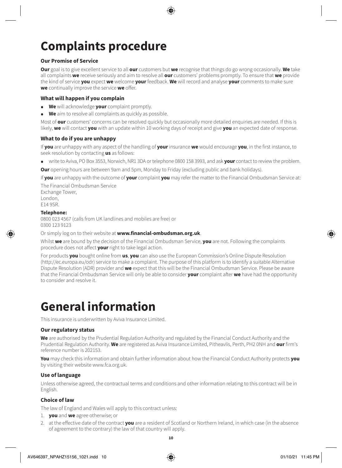# **Complaints procedure**

#### **Our Promise of Service**

**Our** goal is to give excellent service to all **our** customers but **we** recognise that things do go wrong occasionally. **We** take all complaints **we** receive seriously and aim to resolve all **our** customers' problems promptly. To ensure that **we** provide the kind of service **you** expect **we** welcome **your** feedback. **We** will record and analyse **your** comments to make sure **we** continually improve the service **we** offer.

#### **What will happen if you complain**

- **We** will acknowledge **your** complaint promptly.
- **We** aim to resolve all complaints as quickly as possible.

Most of **our** customers' concerns can be resolved quickly but occasionally more detailed enquiries are needed. If this is likely, **we** will contact **you** with an update within 10 working days of receipt and give **you** an expected date of response.

#### **What to do if you are unhappy**

If **you** are unhappy with any aspect of the handling of **your** insurance **we** would encourage **you**, in the first instance, to seek resolution by contacting **us** as follows:

- write to Aviva, PO Box 3553, Norwich, NR1 3DA or telephone 0800 158 3993, and ask **your** contact to review the problem.
- **Our** opening hours are between 9am and 5pm, Monday to Friday (excluding public and bank holidays).

If **you** are unhappy with the outcome of **your** complaint **you** may refer the matter to the Financial Ombudsman Service at:

The Financial Ombudsman Service Exchange Tower, London, E14 9SR.

#### **Telephone:**

0800 023 4567 (calls from UK landlines and mobiles are free) or 0300 123 9123

Or simply log on to their website at **[www.financial-ombudsman.org.uk](http://www.financial-ombudsman.org.uk)**.

Whilst **we** are bound by the decision of the Financial Ombudsman Service, **you** are not. Following the complaints procedure does not affect **your** right to take legal action.

For products **you** bought online from **us**, **you** can also use the European Commission's Online Dispute Resolution (<http://ec.europa.eu/odr>) service to make a complaint. The purpose of this platform is to identify a suitable Alternative Dispute Resolution (ADR) provider and **we** expect that this will be the Financial Ombudsman Service. Please be aware that the Financial Ombudsman Service will only be able to consider **your** complaint after **we** have had the opportunity to consider and resolve it.

### **General information**

This insurance is underwritten by Aviva Insurance Limited.

#### **Our regulatory status**

**We** are authorised by the Prudential Regulation Authority and regulated by the Financial Conduct Authority and the Prudential Regulation Authority. **We** are registered as Aviva Insurance Limited, Pitheavlis, Perth, PH2 0NH and **our** firm's reference number is 202153.

**You** may check this information and obtain further information about how the Financial Conduct Authority protects **you** by visiting their website [www.fca.org.uk](http://www.fca.org.uk).

#### **Use of language**

Unless otherwise agreed, the contractual terms and conditions and other information relating to this contract will be in English.

#### **Choice of law**

The law of England and Wales will apply to this contract unless:

- 1. **you** and **we** agree otherwise; or
- 2. at the effective date of the contract **you** are a resident of Scotland or Northern Ireland, in which case (in the absence of agreement to the contrary) the law of that country will apply.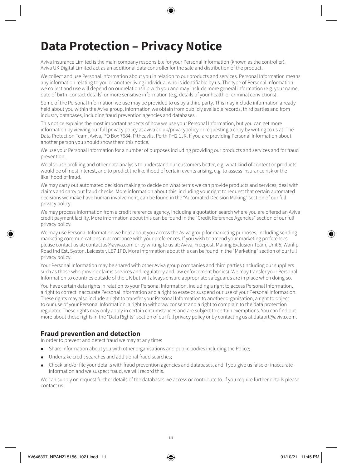# **Data Protection – Privacy Notice**

Aviva Insurance Limited is the main company responsible for your Personal Information (known as the controller). Aviva UK Digital Limited act as an additional data controller for the sale and distribution of the product.

We collect and use Personal Information about you in relation to our products and services. Personal Information means any information relating to you or another living individual who is identifiable by us. The type of Personal Information we collect and use will depend on our relationship with you and may include more general information (e.g. your name, date of birth, contact details) or more sensitive information (e.g. details of your health or criminal convictions).

Some of the Personal Information we use may be provided to us by a third party. This may include information already held about you within the Aviva group, information we obtain from publicly available records, third parties and from industry databases, including fraud prevention agencies and databases.

This notice explains the most important aspects of how we use your Personal Information, but you can get more information by viewing our full privacy policy at [aviva.co.uk/privacypolicy](http://www.aviva.co.uk/privacypolicy) or requesting a copy by writing to us at: The Data Protection Team, Aviva, PO Box 7684, Pitheavlis, Perth PH2 1JR. If you are providing Personal Information about another person you should show them this notice.

We use your Personal Information for a number of purposes including providing our products and services and for fraud prevention.

We also use profiling and other data analysis to understand our customers better, e.g. what kind of content or products would be of most interest, and to predict the likelihood of certain events arising, e.g. to assess insurance risk or the likelihood of fraud.

We may carry out automated decision making to decide on what terms we can provide products and services, deal with claims and carry out fraud checks. More information about this, including your right to request that certain automated decisions we make have human involvement, can be found in the "Automated Decision Making" section of our full privacy policy.

We may process information from a credit reference agency, including a quotation search where you are offered an Aviva credit payment facility. More information about this can be found in the "Credit Reference Agencies" section of our full privacy policy.

We may use Personal Information we hold about you across the Aviva group for marketing purposes, including sending marketing communications in accordance with your preferences. If you wish to amend your marketing preferences please contact us at: [contactus@aviva.com](mailto:contactus@aviva.com) or by writing to us at: Aviva, Freepost, Mailing Exclusion Team, Unit 5, Wanlip Road Ind Est, Syston, Leicester, LE7 1PD. More information about this can be found in the "Marketing" section of our full privacy policy.

Your Personal Information may be shared with other Aviva group companies and third parties (including our suppliers such as those who provide claims services and regulatory and law enforcement bodies). We may transfer your Personal Information to countries outside of the UK but will always ensure appropriate safeguards are in place when doing so.

You have certain data rights in relation to your Personal Information, including a right to access Personal Information, a right to correct inaccurate Personal Information and a right to erase or suspend our use of your Personal Information. These rights may also include a right to transfer your Personal Information to another organisation, a right to object to our use of your Personal Information, a right to withdraw consent and a right to complain to the data protection regulator. These rights may only apply in certain circumstances and are subject to certain exemptions. You can find out more about these rights in the "Data Rights" section of our full privacy policy or by contacting us at [dataprt@aviva.com.](mailto:dataprt@aviva.com)

### **Fraud prevention and detection**

In order to prevent and detect fraud we may at any time:

- Share information about you with other organisations and public bodies including the Police;
- Undertake credit searches and additional fraud searches;
- Check and/or file your details with fraud prevention agencies and databases, and if you give us false or inaccurate information and we suspect fraud, we will record this.

We can supply on request further details of the databases we access or contribute to. If you require further details please contact us.